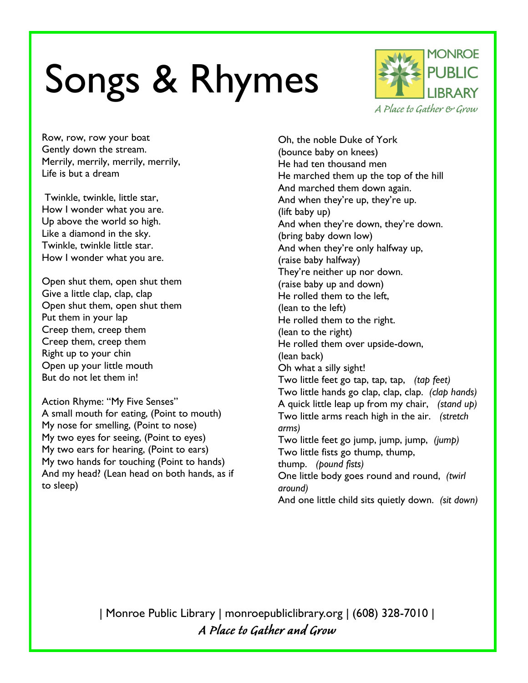

Row, row, row your boat Gently down the stream. Merrily, merrily, merrily, merrily, Life is but a dream

Twinkle, twinkle, little star, How I wonder what you are. Up above the world so high. Like a diamond in the sky. Twinkle, twinkle little star. How I wonder what you are.

Open shut them, open shut them Give a little clap, clap, clap Open shut them, open shut them Put them in your lap Creep them, creep them Creep them, creep them Right up to your chin Open up your little mouth But do not let them in!

Action Rhyme: "My Five Senses" A small mouth for eating, (Point to mouth) My nose for smelling, (Point to nose) My two eyes for seeing, (Point to eyes) My two ears for hearing, (Point to ears) My two hands for touching (Point to hands) And my head? (Lean head on both hands, as if to sleep)

Oh, the noble Duke of York (bounce baby on knees) He had ten thousand men He marched them up the top of the hill And marched them down again. And when they're up, they're up. (lift baby up) And when they're down, they're down. (bring baby down low) And when they're only halfway up, (raise baby halfway) They're neither up nor down. (raise baby up and down) He rolled them to the left, (lean to the left) He rolled them to the right. (lean to the right) He rolled them over upside-down, (lean back) Oh what a silly sight! Two little feet go tap, tap, tap, *(tap feet)* Two little hands go clap, clap, clap. *(clap hands)* A quick little leap up from my chair, *(stand up)* Two little arms reach high in the air. *(stretch arms)* Two little feet go jump, jump, jump, *(jump)* Two little fists go thump, thump, thump. *(pound fists)* One little body goes round and round, *(twirl around)* And one little child sits quietly down. *(sit down)*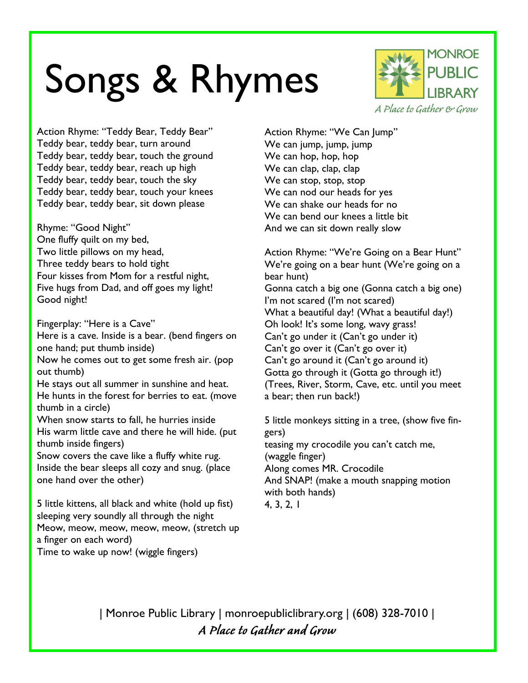

Action Rhyme: "Teddy Bear, Teddy Bear" Teddy bear, teddy bear, turn around Teddy bear, teddy bear, touch the ground Teddy bear, teddy bear, reach up high Teddy bear, teddy bear, touch the sky Teddy bear, teddy bear, touch your knees Teddy bear, teddy bear, sit down please

Rhyme: "Good Night" One fluffy quilt on my bed, Two little pillows on my head, Three teddy bears to hold tight Four kisses from Mom for a restful night, Five hugs from Dad, and off goes my light! Good night!

Fingerplay: "Here is a Cave"

Here is a cave. Inside is a bear. (bend fingers on one hand; put thumb inside)

Now he comes out to get some fresh air. (pop out thumb)

He stays out all summer in sunshine and heat. He hunts in the forest for berries to eat. (move thumb in a circle)

When snow starts to fall, he hurries inside His warm little cave and there he will hide. (put thumb inside fingers)

Snow covers the cave like a fluffy white rug. Inside the bear sleeps all cozy and snug. (place one hand over the other)

5 little kittens, all black and white (hold up fist) sleeping very soundly all through the night Meow, meow, meow, meow, meow, (stretch up a finger on each word) Time to wake up now! (wiggle fingers)

Action Rhyme: "We Can Jump" We can jump, jump, jump We can hop, hop, hop We can clap, clap, clap We can stop, stop, stop We can nod our heads for yes We can shake our heads for no We can bend our knees a little bit And we can sit down really slow

Action Rhyme: "We're Going on a Bear Hunt" We're going on a bear hunt (We're going on a bear hunt) Gonna catch a big one (Gonna catch a big one) I'm not scared (I'm not scared) What a beautiful day! (What a beautiful day!) Oh look! It's some long, wavy grass! Can't go under it (Can't go under it) Can't go over it (Can't go over it) Can't go around it (Can't go around it) Gotta go through it (Gotta go through it!) (Trees, River, Storm, Cave, etc. until you meet a bear; then run back!)

5 little monkeys sitting in a tree, (show five fingers) teasing my crocodile you can't catch me, (waggle finger) Along comes MR. Crocodile And SNAP! (make a mouth snapping motion with both hands) 4, 3, 2, 1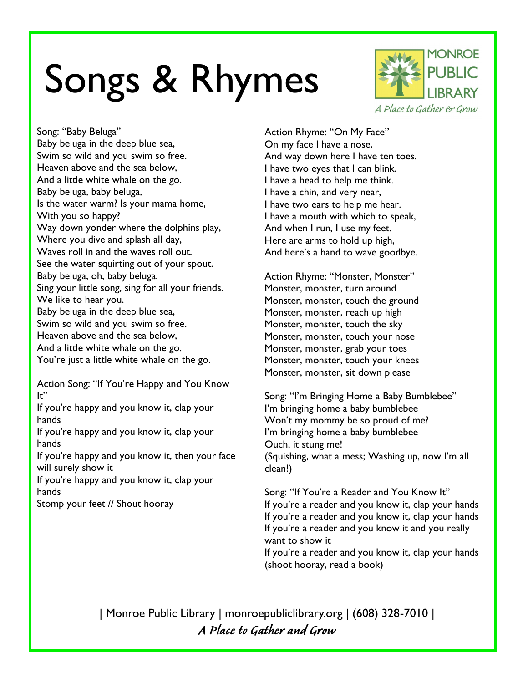

Song: "Baby Beluga" Baby beluga in the deep blue sea, Swim so wild and you swim so free. Heaven above and the sea below, And a little white whale on the go. Baby beluga, baby beluga, Is the water warm? Is your mama home, With you so happy? Way down yonder where the dolphins play, Where you dive and splash all day, Waves roll in and the waves roll out. See the water squirting out of your spout. Baby beluga, oh, baby beluga, Sing your little song, sing for all your friends. We like to hear you. Baby beluga in the deep blue sea, Swim so wild and you swim so free. Heaven above and the sea below, And a little white whale on the go. You're just a little white whale on the go.

Action Song: "If You're Happy and You Know It"

If you're happy and you know it, clap your hands

If you're happy and you know it, clap your hands

If you're happy and you know it, then your face will surely show it

If you're happy and you know it, clap your hands

Stomp your feet // Shout hooray

Action Rhyme: "On My Face" On my face I have a nose, And way down here I have ten toes. I have two eyes that I can blink. I have a head to help me think. I have a chin, and very near, I have two ears to help me hear. I have a mouth with which to speak, And when I run, I use my feet. Here are arms to hold up high, And here's a hand to wave goodbye.

Action Rhyme: "Monster, Monster" Monster, monster, turn around Monster, monster, touch the ground Monster, monster, reach up high Monster, monster, touch the sky Monster, monster, touch your nose Monster, monster, grab your toes Monster, monster, touch your knees Monster, monster, sit down please

Song: "I'm Bringing Home a Baby Bumblebee" I'm bringing home a baby bumblebee Won't my mommy be so proud of me? I'm bringing home a baby bumblebee Ouch, it stung me! (Squishing, what a mess; Washing up, now I'm all clean!)

Song: "If You're a Reader and You Know It" If you're a reader and you know it, clap your hands If you're a reader and you know it, clap your hands If you're a reader and you know it and you really want to show it If you're a reader and you know it, clap your hands

(shoot hooray, read a book)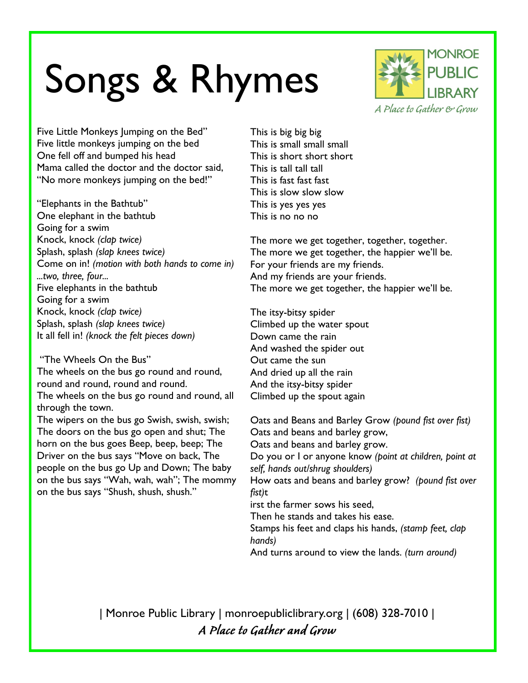

Five Little Monkeys Jumping on the Bed" Five little monkeys jumping on the bed One fell off and bumped his head Mama called the doctor and the doctor said, "No more monkeys jumping on the bed!"

"Elephants in the Bathtub" One elephant in the bathtub Going for a swim Knock, knock *(clap twice)* Splash, splash *(slap knees twice)* Come on in! *(motion with both hands to come in) ...two, three, four...* Five elephants in the bathtub Going for a swim Knock, knock *(clap twice)* Splash, splash *(slap knees twice)* It all fell in! *(knock the felt pieces down)*

"The Wheels On the Bus"

The wheels on the bus go round and round, round and round, round and round.

The wheels on the bus go round and round, all through the town.

The wipers on the bus go Swish, swish, swish; The doors on the bus go open and shut; The horn on the bus goes Beep, beep, beep; The Driver on the bus says "Move on back, The people on the bus go Up and Down; The baby on the bus says "Wah, wah, wah"; The mommy on the bus says "Shush, shush, shush."

This is big big big This is small small small This is short short short This is tall tall tall This is fast fast fast This is slow slow slow This is yes yes yes This is no no no

The more we get together, together, together. The more we get together, the happier we'll be. For your friends are my friends. And my friends are your friends. The more we get together, the happier we'll be.

The itsy-bitsy spider Climbed up the water spout Down came the rain And washed the spider out Out came the sun And dried up all the rain And the itsy-bitsy spider Climbed up the spout again

Oats and Beans and Barley Grow *(pound fist over fist)* Oats and beans and barley grow, Oats and beans and barley grow.

Do you or I or anyone know *(point at children, point at self, hands out/shrug shoulders)*

How oats and beans and barley grow? *(pound fist over fist)*t

irst the farmer sows his seed,

Then he stands and takes his ease.

Stamps his feet and claps his hands, *(stamp feet, clap hands)*

And turns around to view the lands. *(turn around)*